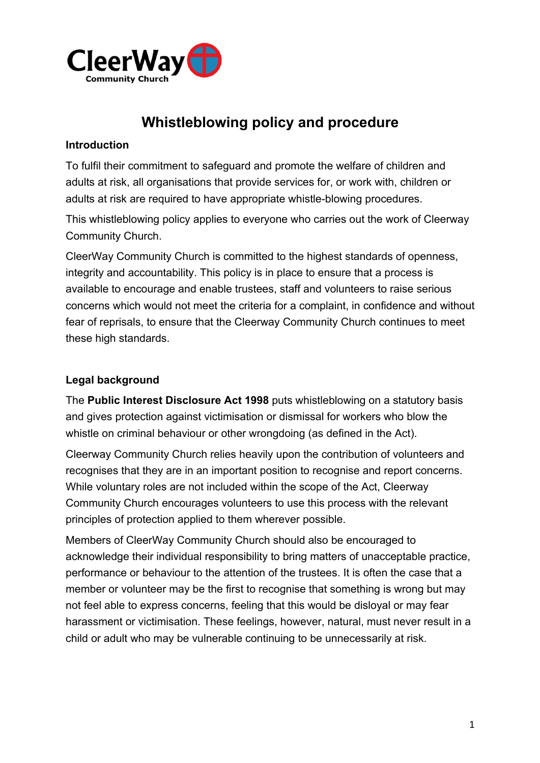

# **Whistleblowing policy and procedure**

## **Introduction**

To fulfil their commitment to safeguard and promote the welfare of children and adults at risk, all organisations that provide services for, or work with, children or adults at risk are required to have appropriate whistle-blowing procedures.

This whistleblowing policy applies to everyone who carries out the work of Cleerway Community Church.

CleerWay Community Church is committed to the highest standards of openness, integrity and accountability. This policy is in place to ensure that a process is available to encourage and enable trustees, staff and volunteers to raise serious concerns which would not meet the criteria for a complaint, in confidence and without fear of reprisals, to ensure that the Cleerway Community Church continues to meet these high standards.

## **Legal background**

The **Public Interest Disclosure Act 1998** puts whistleblowing on a statutory basis and gives protection against victimisation or dismissal for workers who blow the whistle on criminal behaviour or other wrongdoing (as defined in the Act).

Cleerway Community Church relies heavily upon the contribution of volunteers and recognises that they are in an important position to recognise and report concerns. While voluntary roles are not included within the scope of the Act, Cleerway Community Church encourages volunteers to use this process with the relevant principles of protection applied to them wherever possible.

Members of CleerWay Community Church should also be encouraged to acknowledge their individual responsibility to bring matters of unacceptable practice, performance or behaviour to the attention of the trustees. It is often the case that a member or volunteer may be the first to recognise that something is wrong but may not feel able to express concerns, feeling that this would be disloyal or may fear harassment or victimisation. These feelings, however, natural, must never result in a child or adult who may be vulnerable continuing to be unnecessarily at risk.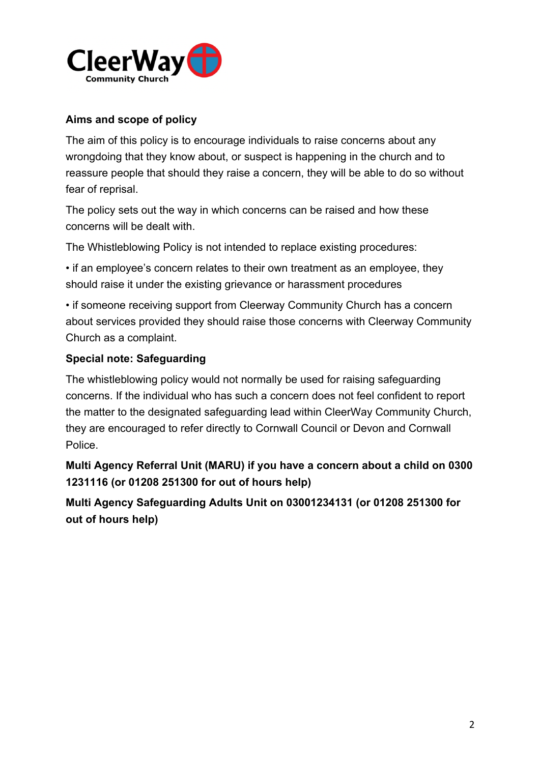

## **Aims and scope of policy**

The aim of this policy is to encourage individuals to raise concerns about any wrongdoing that they know about, or suspect is happening in the church and to reassure people that should they raise a concern, they will be able to do so without fear of reprisal.

The policy sets out the way in which concerns can be raised and how these concerns will be dealt with.

The Whistleblowing Policy is not intended to replace existing procedures:

• if an employee's concern relates to their own treatment as an employee, they should raise it under the existing grievance or harassment procedures

• if someone receiving support from Cleerway Community Church has a concern about services provided they should raise those concerns with Cleerway Community Church as a complaint.

## **Special note: Safeguarding**

The whistleblowing policy would not normally be used for raising safeguarding concerns. If the individual who has such a concern does not feel confident to report the matter to the designated safeguarding lead within CleerWay Community Church, they are encouraged to refer directly to Cornwall Council or Devon and Cornwall Police.

**Multi Agency Referral Unit (MARU) if you have a concern about a child on 0300 1231116 (or 01208 251300 for out of hours help)**

**Multi Agency Safeguarding Adults Unit on 03001234131 (or 01208 251300 for out of hours help)**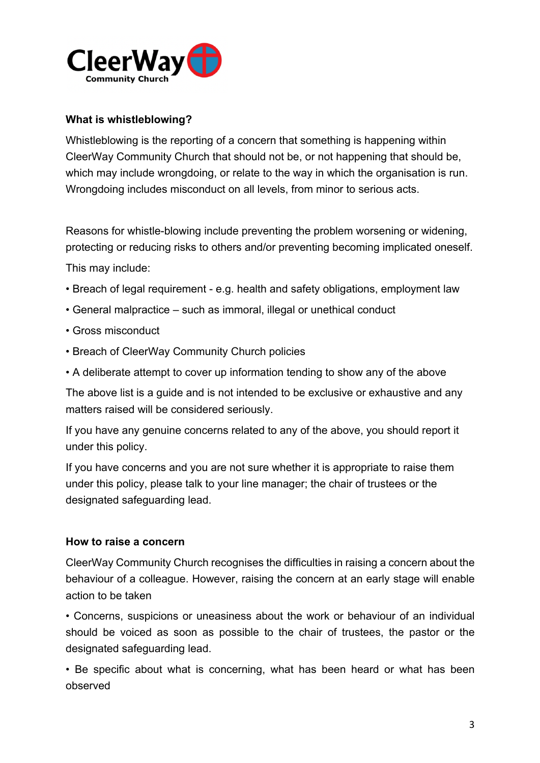

#### **What is whistleblowing?**

Whistleblowing is the reporting of a concern that something is happening within CleerWay Community Church that should not be, or not happening that should be, which may include wrongdoing, or relate to the way in which the organisation is run. Wrongdoing includes misconduct on all levels, from minor to serious acts.

Reasons for whistle-blowing include preventing the problem worsening or widening, protecting or reducing risks to others and/or preventing becoming implicated oneself. This may include:

- Breach of legal requirement e.g. health and safety obligations, employment law
- General malpractice such as immoral, illegal or unethical conduct
- Gross misconduct
- Breach of CleerWay Community Church policies
- A deliberate attempt to cover up information tending to show any of the above

The above list is a guide and is not intended to be exclusive or exhaustive and any matters raised will be considered seriously.

If you have any genuine concerns related to any of the above, you should report it under this policy.

If you have concerns and you are not sure whether it is appropriate to raise them under this policy, please talk to your line manager; the chair of trustees or the designated safeguarding lead.

#### **How to raise a concern**

CleerWay Community Church recognises the difficulties in raising a concern about the behaviour of a colleague. However, raising the concern at an early stage will enable action to be taken

• Concerns, suspicions or uneasiness about the work or behaviour of an individual should be voiced as soon as possible to the chair of trustees, the pastor or the designated safeguarding lead.

• Be specific about what is concerning, what has been heard or what has been observed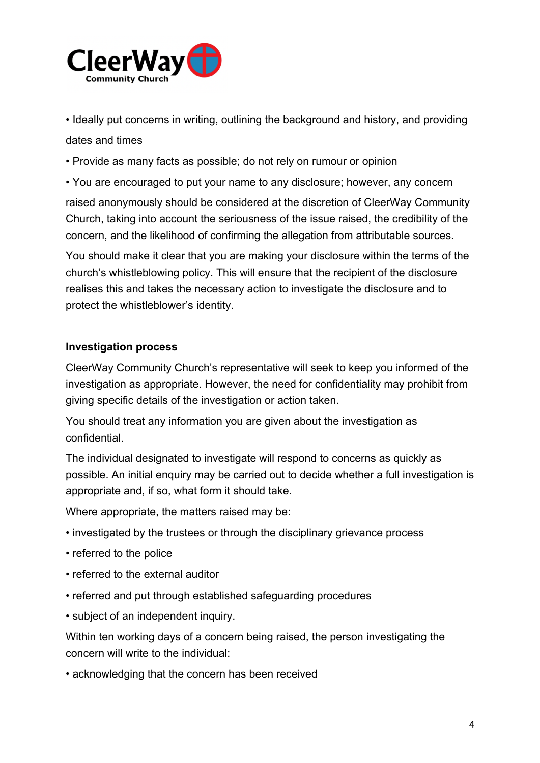

• Ideally put concerns in writing, outlining the background and history, and providing dates and times

• Provide as many facts as possible; do not rely on rumour or opinion

• You are encouraged to put your name to any disclosure; however, any concern

raised anonymously should be considered at the discretion of CleerWay Community Church, taking into account the seriousness of the issue raised, the credibility of the concern, and the likelihood of confirming the allegation from attributable sources.

You should make it clear that you are making your disclosure within the terms of the church's whistleblowing policy. This will ensure that the recipient of the disclosure realises this and takes the necessary action to investigate the disclosure and to protect the whistleblower's identity.

#### **Investigation process**

CleerWay Community Church's representative will seek to keep you informed of the investigation as appropriate. However, the need for confidentiality may prohibit from giving specific details of the investigation or action taken.

You should treat any information you are given about the investigation as confidential.

The individual designated to investigate will respond to concerns as quickly as possible. An initial enquiry may be carried out to decide whether a full investigation is appropriate and, if so, what form it should take.

Where appropriate, the matters raised may be:

- investigated by the trustees or through the disciplinary grievance process
- referred to the police
- referred to the external auditor
- referred and put through established safeguarding procedures
- subject of an independent inquiry.

Within ten working days of a concern being raised, the person investigating the concern will write to the individual:

• acknowledging that the concern has been received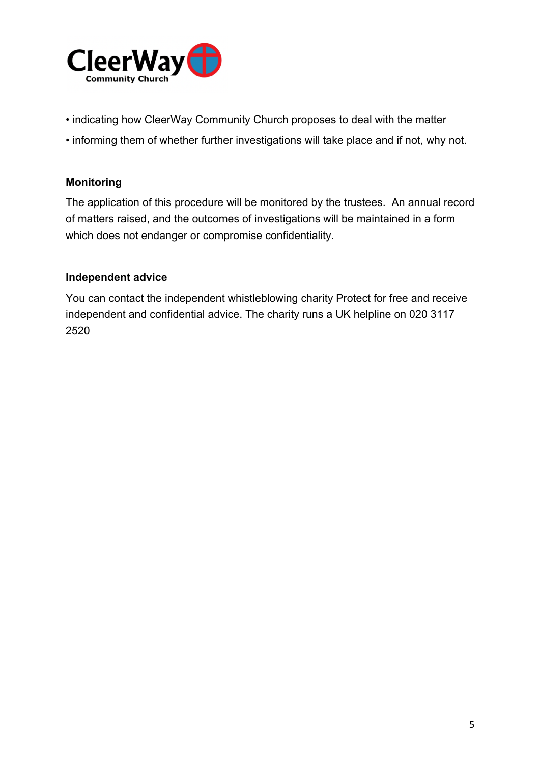

- indicating how CleerWay Community Church proposes to deal with the matter
- informing them of whether further investigations will take place and if not, why not.

## **Monitoring**

The application of this procedure will be monitored by the trustees. An annual record of matters raised, and the outcomes of investigations will be maintained in a form which does not endanger or compromise confidentiality.

### **Independent advice**

You can contact the independent whistleblowing charity Protect for free and receive independent and confidential advice. The charity runs a UK helpline on 020 3117 2520